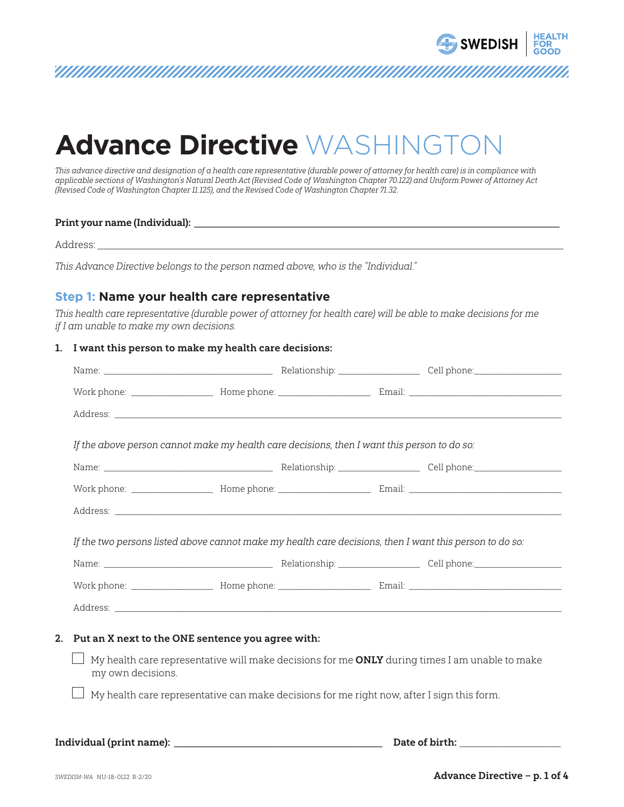

This advance directive and designation of a health care representative (durable power of attorney for health care) is in compliance with applicable sections of Washington's Natural Death Act (Revised Code of Washington Chapter 70.122) and Uniform Power of Attorney Act (Revised Code of Washington Chapter 11.125), and the Revised Code of Washington Chapter 71.32.

#### Print your name (Individual):

Address: \_\_\_\_\_\_\_\_\_\_\_\_\_\_\_\_\_\_\_\_\_\_\_\_\_\_\_\_\_\_\_\_\_\_\_\_\_\_\_\_\_\_\_\_\_\_\_\_\_\_\_\_\_\_\_\_\_\_\_\_\_\_\_\_\_\_\_\_\_\_\_\_\_\_\_\_\_

This Advance Directive belongs to the person named above, who is the "Individual."

#### **Step 1: Name your health care representative**

This health care representative (durable power of attorney for health care) will be able to make decisions for me if I am unable to make my own decisions.

#### 1. I want this person to make my health care decisions:

| If the above person cannot make my health care decisions, then I want this person to do so: |  |
|---------------------------------------------------------------------------------------------|--|
|                                                                                             |  |
|                                                                                             |  |
|                                                                                             |  |
|                                                                                             |  |
|                                                                                             |  |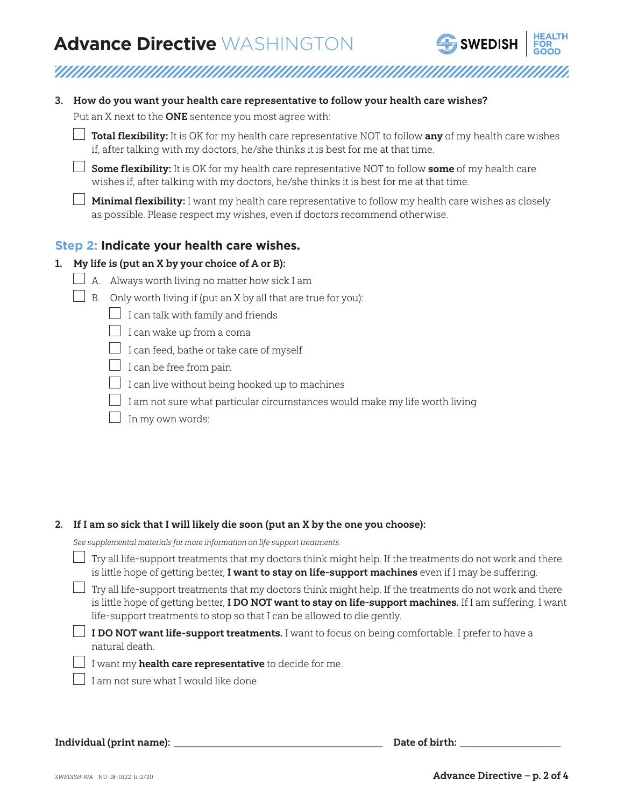

|  |  | 3. How do you want your health care representative to follow your health care wishes? |  |
|--|--|---------------------------------------------------------------------------------------|--|
|--|--|---------------------------------------------------------------------------------------|--|

Put an X next to the **ONE** sentence you most agree with:

| $\Box$ Total flexibility: It is OK for my health care representative NOT to follow any of my health care wishes |
|-----------------------------------------------------------------------------------------------------------------|
| if, after talking with my doctors, he/she thinks it is best for me at that time.                                |

 $\Box$  Some flexibility: It is OK for my health care representative NOT to follow some of my health care wishes if, after talking with my doctors, he/she thinks it is best for me at that time.

**Minimal flexibility:** I want my health care representative to follow my health care wishes as closely as possible. Please respect my wishes, even if doctors recommend otherwise.

#### **Step 2: Indicate your health care wishes.**

#### 1. My life is (put an X by your choice of A or B):

- $\Box$  A. Always worth living no matter how sick I am
- $\Box$  B. Only worth living if (put an X by all that are true for you):
	- $\Box$  I can talk with family and friends
	- $\Box$  I can wake up from a coma
	- $\Box$  I can feed, bathe or take care of myself
	- $\Box$  I can be free from pain
	- $\Box$  I can live without being hooked up to machines
	- $\Box$  I am not sure what particular circumstances would make my life worth living
	- $\Box$  In my own words:

#### 2. If I am so sick that I will likely die soon (put an X by the one you choose):

See supplemental materials for more information on life support treatments.

| $\Box$ Try all life-support treatments that my doctors think might help. If the treatments do not work and there |
|------------------------------------------------------------------------------------------------------------------|
| is little hope of getting better, I want to stay on life-support machines even if I may be suffering.            |
| $\Box$ Try all life-support treatments that my doctors think might help. If the treatments do not work and there |

is little hope of getting better, **I DO NOT want to stay on life-support machines.** If I am suffering, I want life-support treatments to stop so that I can be allowed to die gently.

 $\Box$  I DO NOT want life-support treatments. I want to focus on being comfortable. I prefer to have a natural death.

I want my **health care representative** to decide for me.

 $\Box$  I am not sure what I would like done.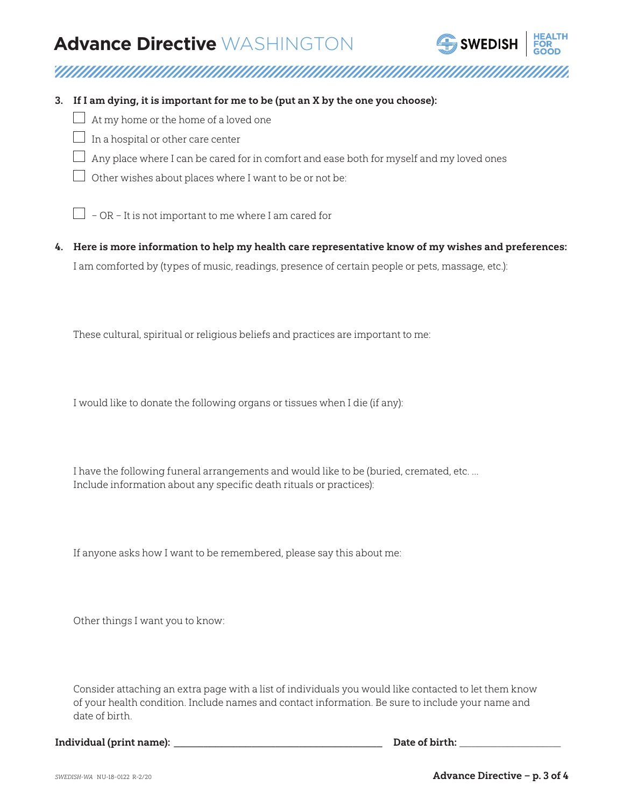

- 3. If I am dying, it is important for me to be (put an X by the one you choose):
	- $\Box$  At my home or the home of a loved one
	- $\Box$  In a hospital or other care center
	- $\Box$  Any place where I can be cared for in comfort and ease both for myself and my loved ones
	- $\Box$  Other wishes about places where I want to be or not be:
	- $\Box$  OR It is not important to me where I am cared for
- 4. Here is more information to help my health care representative know of my wishes and preferences: I am comforted by (types of music, readings, presence of certain people or pets, massage, etc.):

These cultural, spiritual or religious beliefs and practices are important to me:

I would like to donate the following organs or tissues when I die (if any):

I have the following funeral arrangements and would like to be (buried, cremated, etc. … Include information about any specific death rituals or practices):

If anyone asks how I want to be remembered, please say this about me:

Other things I want you to know:

Consider attaching an extra page with a list of individuals you would like contacted to let them know of your health condition. Include names and contact information. Be sure to include your name and date of birth.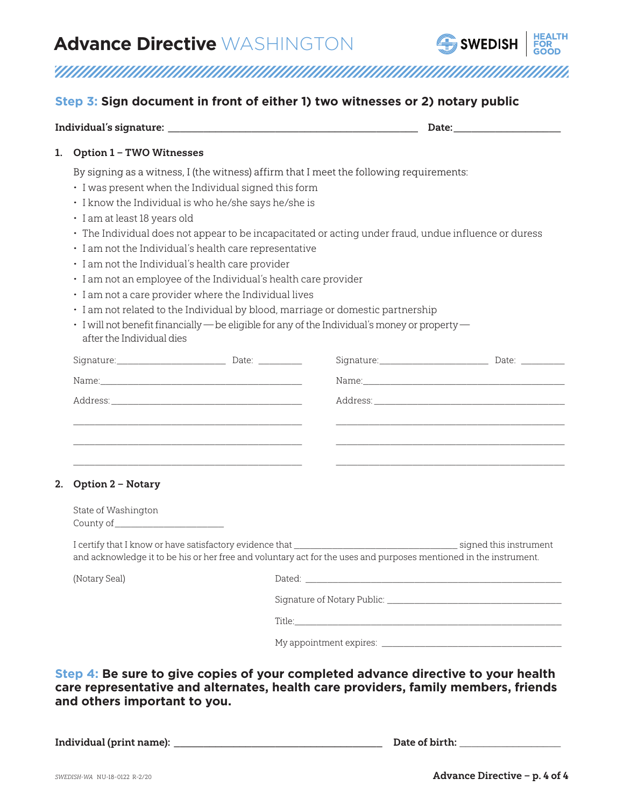

<u>TAANIMANAN MANAMANAN MANAMANAN MANAMANAN MANAMAN</u>

#### **Step 3: Sign document in front of either 1) two witnesses or 2) notary public**

| <b>Option 1 - TWO Witnesses</b>                                                                                                                                                                                                                                                                                                                 |  |  |  |                                                                                                |  |  |  |
|-------------------------------------------------------------------------------------------------------------------------------------------------------------------------------------------------------------------------------------------------------------------------------------------------------------------------------------------------|--|--|--|------------------------------------------------------------------------------------------------|--|--|--|
| By signing as a witness, I (the witness) affirm that I meet the following requirements:                                                                                                                                                                                                                                                         |  |  |  |                                                                                                |  |  |  |
| · I was present when the Individual signed this form                                                                                                                                                                                                                                                                                            |  |  |  |                                                                                                |  |  |  |
| · I know the Individual is who he/she says he/she is                                                                                                                                                                                                                                                                                            |  |  |  |                                                                                                |  |  |  |
| · I am at least 18 years old                                                                                                                                                                                                                                                                                                                    |  |  |  |                                                                                                |  |  |  |
| · The Individual does not appear to be incapacitated or acting under fraud, undue influence or duress<br>· I am not the Individual's health care representative<br>· I am not the Individual's health care provider<br>· I am not an employee of the Individual's health care provider<br>· I am not a care provider where the Individual lives |  |  |  |                                                                                                |  |  |  |
|                                                                                                                                                                                                                                                                                                                                                 |  |  |  | · I am not related to the Individual by blood, marriage or domestic partnership                |  |  |  |
|                                                                                                                                                                                                                                                                                                                                                 |  |  |  | · I will not benefit financially — be eligible for any of the Individual's money or property — |  |  |  |
|                                                                                                                                                                                                                                                                                                                                                 |  |  |  | after the Individual dies                                                                      |  |  |  |
|                                                                                                                                                                                                                                                                                                                                                 |  |  |  | Signature: Date: Date: 2010                                                                    |  |  |  |
|                                                                                                                                                                                                                                                                                                                                                 |  |  |  |                                                                                                |  |  |  |
|                                                                                                                                                                                                                                                                                                                                                 |  |  |  |                                                                                                |  |  |  |
|                                                                                                                                                                                                                                                                                                                                                 |  |  |  |                                                                                                |  |  |  |
|                                                                                                                                                                                                                                                                                                                                                 |  |  |  |                                                                                                |  |  |  |
|                                                                                                                                                                                                                                                                                                                                                 |  |  |  |                                                                                                |  |  |  |
|                                                                                                                                                                                                                                                                                                                                                 |  |  |  |                                                                                                |  |  |  |
| <b>Option 2 - Notary</b>                                                                                                                                                                                                                                                                                                                        |  |  |  |                                                                                                |  |  |  |
| State of Washington                                                                                                                                                                                                                                                                                                                             |  |  |  |                                                                                                |  |  |  |
|                                                                                                                                                                                                                                                                                                                                                 |  |  |  |                                                                                                |  |  |  |
| and acknowledge it to be his or her free and voluntary act for the uses and purposes mentioned in the instrument.                                                                                                                                                                                                                               |  |  |  |                                                                                                |  |  |  |
| (Notary Seal)                                                                                                                                                                                                                                                                                                                                   |  |  |  |                                                                                                |  |  |  |
|                                                                                                                                                                                                                                                                                                                                                 |  |  |  |                                                                                                |  |  |  |
|                                                                                                                                                                                                                                                                                                                                                 |  |  |  |                                                                                                |  |  |  |
|                                                                                                                                                                                                                                                                                                                                                 |  |  |  |                                                                                                |  |  |  |
|                                                                                                                                                                                                                                                                                                                                                 |  |  |  |                                                                                                |  |  |  |

**Step 4: Be sure to give copies of your completed advance directive to your health care representative and alternates, health care providers, family members, friends and others important to you.**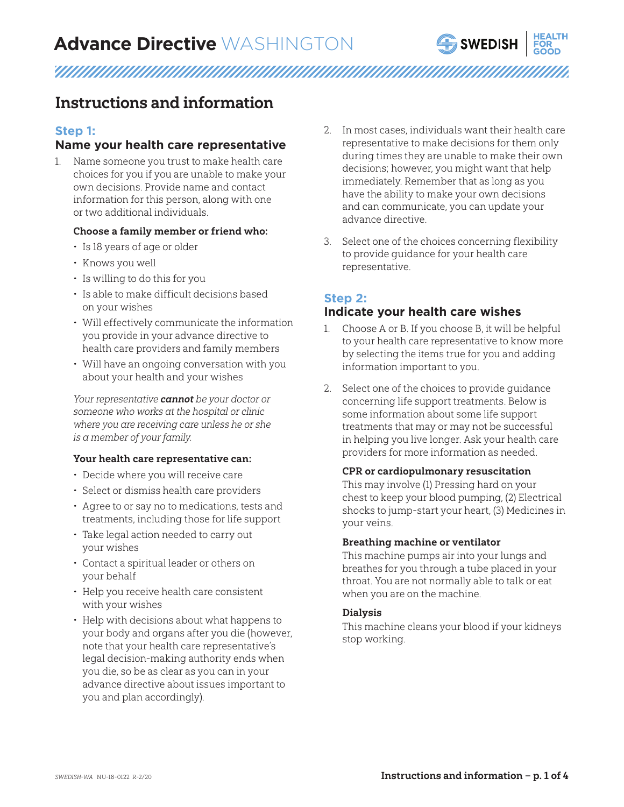

# 

### Instructions and information

#### **Step 1:**

#### **Name your health care representative**

Name someone you trust to make health care choices for you if you are unable to make your own decisions. Provide name and contact information for this person, along with one or two additional individuals.

#### Choose a family member or friend who:

- Is 18 years of age or older
- Knows you well
- Is willing to do this for you
- Is able to make difficult decisions based on your wishes
- Will effectively communicate the information you provide in your advance directive to health care providers and family members
- Will have an ongoing conversation with you about your health and your wishes

Your representative cannot be your doctor or someone who works at the hospital or clinic where you are receiving care unless he or she is a member of your family.

#### Your health care representative can:

- Decide where you will receive care
- Select or dismiss health care providers
- Agree to or say no to medications, tests and treatments, including those for life support
- Take legal action needed to carry out your wishes
- Contact a spiritual leader or others on your behalf
- Help you receive health care consistent with your wishes
- Help with decisions about what happens to your body and organs after you die (however, note that your health care representative's legal decision-making authority ends when you die, so be as clear as you can in your advance directive about issues important to you and plan accordingly).
- 2. In most cases, individuals want their health care representative to make decisions for them only during times they are unable to make their own decisions; however, you might want that help immediately. Remember that as long as you have the ability to make your own decisions and can communicate, you can update your advance directive.
- 3. Select one of the choices concerning flexibility to provide guidance for your health care representative.

#### **Step 2:**

#### **Indicate your health care wishes**

- 1. Choose A or B. If you choose B, it will be helpful to your health care representative to know more by selecting the items true for you and adding information important to you.
- 2. Select one of the choices to provide guidance concerning life support treatments. Below is some information about some life support treatments that may or may not be successful in helping you live longer. Ask your health care providers for more information as needed.

#### CPR or cardiopulmonary resuscitation

This may involve (1) Pressing hard on your chest to keep your blood pumping, (2) Electrical shocks to jump-start your heart, (3) Medicines in your veins.

#### Breathing machine or ventilator

This machine pumps air into your lungs and breathes for you through a tube placed in your throat. You are not normally able to talk or eat when you are on the machine.

#### Dialysis

This machine cleans your blood if your kidneys stop working.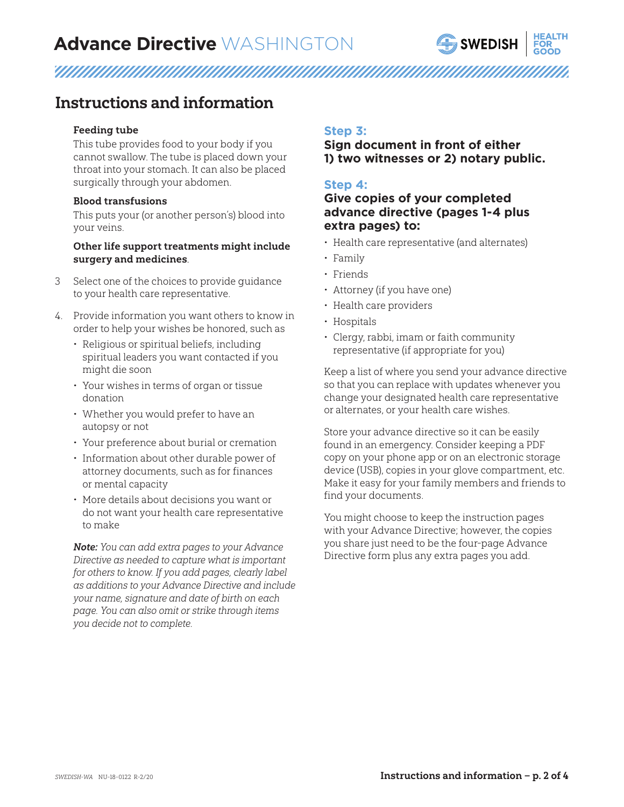

### 

### Instructions and information

#### Feeding tube

This tube provides food to your body if you cannot swallow. The tube is placed down your throat into your stomach. It can also be placed surgically through your abdomen.

#### Blood transfusions

This puts your (or another person's) blood into your veins.

#### Other life support treatments might include surgery and medicines.

- 3 Select one of the choices to provide guidance to your health care representative.
- 4. Provide information you want others to know in order to help your wishes be honored, such as
	- Religious or spiritual beliefs, including spiritual leaders you want contacted if you might die soon
	- Your wishes in terms of organ or tissue donation
	- Whether you would prefer to have an autopsy or not
	- Your preference about burial or cremation
	- Information about other durable power of attorney documents, such as for finances or mental capacity
	- More details about decisions you want or do not want your health care representative to make

Note: You can add extra pages to your Advance Directive as needed to capture what is important for others to know. If you add pages, clearly label as additions to your Advance Directive and include your name, signature and date of birth on each page. You can also omit or strike through items you decide not to complete.

#### **Step 3:**

#### **Sign document in front of either 1) two witnesses or 2) notary public.**

#### **Step 4:**

#### **Give copies of your completed advance directive (pages 1-4 plus extra pages) to:**

- Health care representative (and alternates)
- Family
- Friends
- Attorney (if you have one)
- Health care providers
- Hospitals
- Clergy, rabbi, imam or faith community representative (if appropriate for you)

Keep a list of where you send your advance directive so that you can replace with updates whenever you change your designated health care representative or alternates, or your health care wishes.

Store your advance directive so it can be easily found in an emergency. Consider keeping a PDF copy on your phone app or on an electronic storage device (USB), copies in your glove compartment, etc. Make it easy for your family members and friends to find your documents.

You might choose to keep the instruction pages with your Advance Directive; however, the copies you share just need to be the four-page Advance Directive form plus any extra pages you add.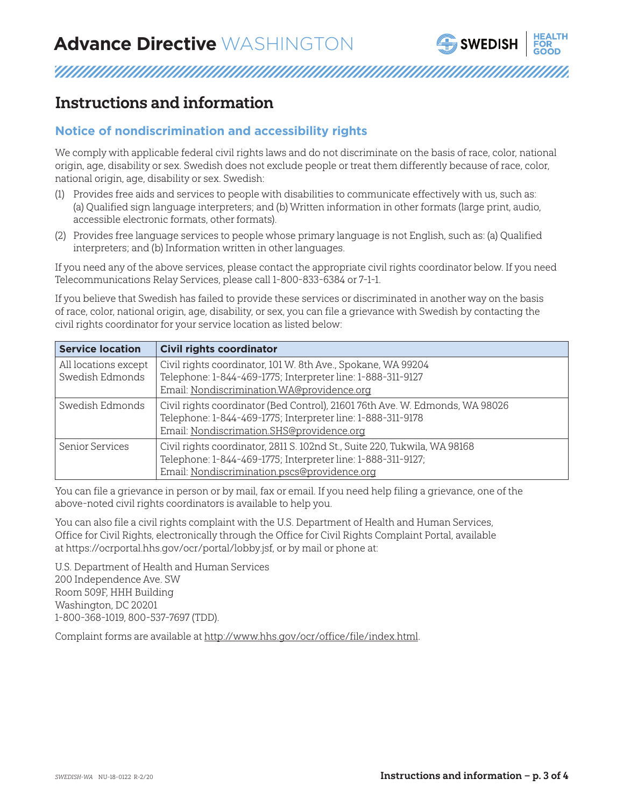

### Instructions and information

#### **Notice of nondiscrimination and accessibility rights**

We comply with applicable federal civil rights laws and do not discriminate on the basis of race, color, national origin, age, disability or sex. Swedish does not exclude people or treat them differently because of race, color, national origin, age, disability or sex. Swedish:

- (1) Provides free aids and services to people with disabilities to communicate effectively with us, such as: (a) Qualified sign language interpreters; and (b) Written information in other formats (large print, audio, accessible electronic formats, other formats).
- (2) Provides free language services to people whose primary language is not English, such as: (a) Qualified interpreters; and (b) Information written in other languages.

If you need any of the above services, please contact the appropriate civil rights coordinator below. If you need Telecommunications Relay Services, please call 1-800-833-6384 or 7-1-1.

If you believe that Swedish has failed to provide these services or discriminated in another way on the basis of race, color, national origin, age, disability, or sex, you can file a grievance with Swedish by contacting the civil rights coordinator for your service location as listed below:

| <b>Service location</b> | <b>Civil rights coordinator</b>                                              |
|-------------------------|------------------------------------------------------------------------------|
| All locations except    | Civil rights coordinator, 101 W. 8th Ave., Spokane, WA 99204                 |
| Swedish Edmonds         | Telephone: 1-844-469-1775; Interpreter line: 1-888-311-9127                  |
|                         | Email: Nondiscrimination.WA@providence.org                                   |
| Swedish Edmonds         | Civil rights coordinator (Bed Control), 21601 76th Ave. W. Edmonds, WA 98026 |
|                         | Telephone: 1-844-469-1775; Interpreter line: 1-888-311-9178                  |
|                         | Email: Nondiscrimation.SHS@providence.org                                    |
| Senior Services         | Civil rights coordinator, 2811 S. 102nd St., Suite 220, Tukwila, WA 98168    |
|                         | Telephone: 1-844-469-1775; Interpreter line: 1-888-311-9127;                 |
|                         | Email: Nondiscrimination.pscs@providence.org                                 |

You can file a grievance in person or by mail, fax or email. If you need help filing a grievance, one of the above-noted civil rights coordinators is available to help you.

You can also file a civil rights complaint with the U.S. Department of Health and Human Services, Office for Civil Rights, electronically through the Office for Civil Rights Complaint Portal, available at https://ocrportal.hhs.gov/ocr/portal/lobby.jsf, or by mail or phone at:

U.S. Department of Health and Human Services 200 Independence Ave. SW Room 509F, HHH Building Washington, DC 20201 1-800-368-1019, 800-537-7697 (TDD).

Complaint forms are available at [http://www.hhs.gov/ocr/office/file/index.html](https://www.hhs.gov/ocr/complaints/index.html).